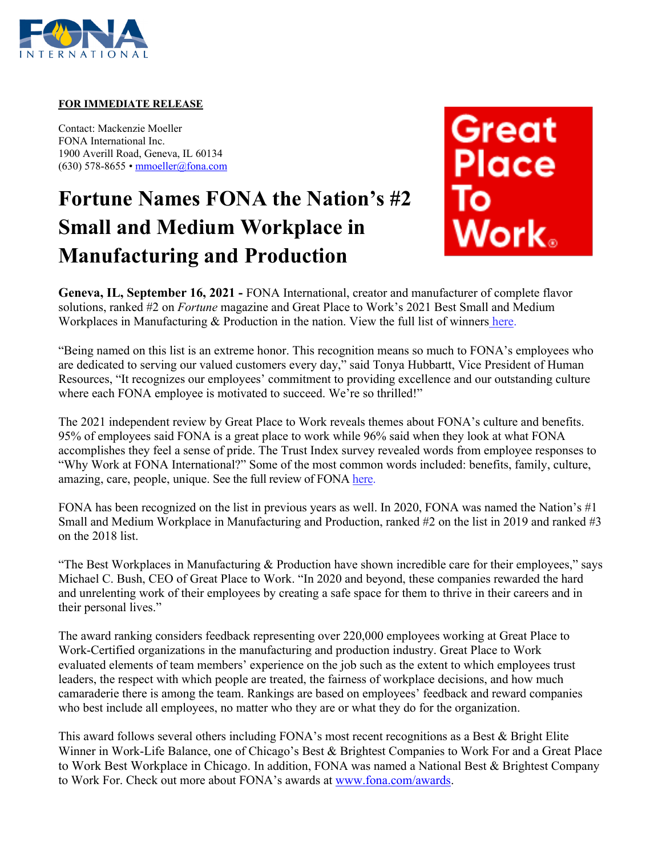

#### **FOR IMMEDIATE RELEASE**

Contact: Mackenzie Moeller FONA International Inc. 1900 Averill Road, Geneva, IL 60134 (630) 578-8655 • [mmoeller@fona.com](mailto:mmoeller@fona.com)

# **Fortune Names FONA the Nation's #2 Small and Medium Workplace in Manufacturing and Production**



**Geneva, IL, September 16, 2021 -** FONA International, creator and manufacturer of complete flavor solutions, ranked #2 on *Fortune* magazine and Great Place to Work's 2021 Best Small and Medium Workplaces in Manufacturing & Production in the nation. View the full list of winners [here.](https://www.greatplacetowork.com/best-workplaces/manufacturing-and-production/2021?category=small-and-medium)

"Being named on this list is an extreme honor. This recognition means so much to FONA's employees who are dedicated to serving our valued customers every day," said Tonya Hubbartt, Vice President of Human Resources, "It recognizes our employees' commitment to providing excellence and our outstanding culture where each FONA employee is motivated to succeed. We're so thrilled!"

The 2021 independent review by Great Place to Work reveals themes about FONA's culture and benefits. 95% of employees said FONA is a great place to work while 96% said when they look at what FONA accomplishes they feel a sense of pride. The Trust Index survey revealed words from employee responses to "Why Work at FONA International?" Some of the most common words included: benefits, family, culture, amazing, care, people, unique. See the full review of FONA [here.](https://www.greatplacetowork.com/certified-company/1205412)

FONA has been recognized on the list in previous years as well. In 2020, FONA was named the Nation's #1 Small and Medium Workplace in Manufacturing and Production, ranked #2 on the list in 2019 and ranked #3 on the 2018 list.

"The Best Workplaces in Manufacturing & Production have shown incredible care for their employees," says Michael C. Bush, CEO of Great Place to Work. "In 2020 and beyond, these companies rewarded the hard and unrelenting work of their employees by creating a safe space for them to thrive in their careers and in their personal lives."

The award ranking considers feedback representing over 220,000 employees working at Great Place to Work-Certified organizations in the manufacturing and production industry. Great Place to Work evaluated elements of team members' experience on the job such as the extent to which employees trust leaders, the respect with which people are treated, the fairness of workplace decisions, and how much camaraderie there is among the team. Rankings are based on employees' feedback and reward companies who best include all employees, no matter who they are or what they do for the organization.

This award follows several others including FONA's most recent recognitions as a Best & Bright Elite Winner in Work-Life Balance, one of Chicago's Best & Brightest Companies to Work For and a Great Place to Work Best Workplace in Chicago. In addition, FONA was named a National Best & Brightest Company to Work For. Check out more about FONA's awards at [www.fona.com/awards.](http://www.fona.com/awards)